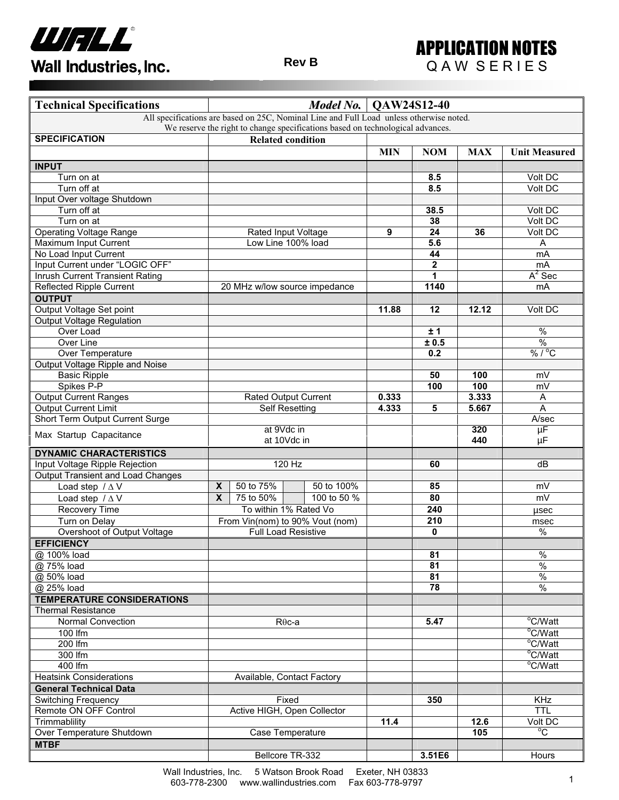



| <b>Technical Specifications</b>                                                | Model No.<br>QAW24S12-40 |                                 |                                                                                         |            |             |            |                              |  |
|--------------------------------------------------------------------------------|--------------------------|---------------------------------|-----------------------------------------------------------------------------------------|------------|-------------|------------|------------------------------|--|
|                                                                                |                          |                                 | All specifications are based on 25C, Nominal Line and Full Load unless otherwise noted. |            |             |            |                              |  |
| We reserve the right to change specifications based on technological advances. |                          |                                 |                                                                                         |            |             |            |                              |  |
| <b>SPECIFICATION</b>                                                           |                          | <b>Related condition</b>        |                                                                                         |            |             |            |                              |  |
|                                                                                |                          |                                 |                                                                                         | <b>MIN</b> | <b>NOM</b>  | <b>MAX</b> | <b>Unit Measured</b>         |  |
| <b>INPUT</b>                                                                   |                          |                                 |                                                                                         |            |             |            |                              |  |
| Turn on at                                                                     |                          |                                 |                                                                                         |            | 8.5         |            | Volt DC                      |  |
| Turn off at                                                                    |                          |                                 |                                                                                         |            | 8.5         |            | Volt DC                      |  |
| Input Over voltage Shutdown                                                    |                          |                                 |                                                                                         |            |             |            |                              |  |
| Turn off at                                                                    |                          |                                 |                                                                                         |            | 38.5        |            | Volt DC                      |  |
| Turn on at                                                                     |                          |                                 |                                                                                         |            | 38          |            | Volt DC                      |  |
| <b>Operating Voltage Range</b>                                                 |                          |                                 | Rated Input Voltage                                                                     | 9          | 24          | 36         | Volt DC                      |  |
| Maximum Input Current                                                          |                          |                                 | Low Line 100% load                                                                      |            | 5.6         |            | Α                            |  |
| No Load Input Current                                                          |                          |                                 |                                                                                         |            | 44          |            | mA                           |  |
| Input Current under "LOGIC OFF"                                                |                          |                                 |                                                                                         |            | $\mathbf 2$ |            | mA                           |  |
| Inrush Current Transient Rating                                                |                          |                                 |                                                                                         |            | 1           |            | $A^2$ Sec                    |  |
| <b>Reflected Ripple Current</b>                                                |                          |                                 | 20 MHz w/low source impedance                                                           |            | 1140        |            | mA                           |  |
| <b>OUTPUT</b>                                                                  |                          |                                 |                                                                                         |            |             |            |                              |  |
| Output Voltage Set point                                                       |                          |                                 |                                                                                         | 11.88      | 12          | 12.12      | Volt DC                      |  |
| <b>Output Voltage Regulation</b>                                               |                          |                                 |                                                                                         |            |             |            |                              |  |
| Over Load                                                                      |                          |                                 |                                                                                         |            | ±1          |            | $\overline{\frac{9}{6}}$     |  |
| Over Line                                                                      |                          |                                 |                                                                                         |            | ± 0.5       |            | $\overline{\frac{9}{6}}$     |  |
| Over Temperature                                                               |                          |                                 |                                                                                         |            | 0.2         |            | $\sqrt[9]{6/^{\circ}C}$      |  |
| Output Voltage Ripple and Noise                                                |                          |                                 |                                                                                         |            |             |            |                              |  |
| <b>Basic Ripple</b>                                                            |                          |                                 |                                                                                         |            | 50          | 100        | mV                           |  |
| Spikes P-P                                                                     |                          |                                 |                                                                                         | 0.333      | 100         | 100        | mV                           |  |
| <b>Output Current Ranges</b>                                                   |                          | <b>Rated Output Current</b>     |                                                                                         |            |             | 3.333      | A                            |  |
| <b>Output Current Limit</b>                                                    |                          |                                 | <b>Self Resetting</b>                                                                   | 4.333      | 5           | 5.667      | A                            |  |
| Short Term Output Current Surge                                                |                          |                                 |                                                                                         |            |             |            | A/sec                        |  |
| Max Startup Capacitance                                                        |                          |                                 | at 9Vdc in                                                                              |            |             | 320        | $\overline{\mu}$ F           |  |
|                                                                                |                          |                                 | at 10Vdc in                                                                             |            |             | 440        | μF                           |  |
| <b>DYNAMIC CHARACTERISTICS</b>                                                 |                          |                                 |                                                                                         |            |             |            |                              |  |
| Input Voltage Ripple Rejection                                                 |                          |                                 | 120 Hz                                                                                  |            | 60          |            | dB                           |  |
| Output Transient and Load Changes                                              |                          |                                 |                                                                                         |            |             |            |                              |  |
| Load step $/\Delta V$                                                          | X                        | 50 to 75%                       | 50 to 100%                                                                              |            | 85          |            | $m\overline{V}$              |  |
| Load step $/\Delta V$                                                          | X                        | 75 to 50%                       | 100 to 50 %                                                                             |            | 80          |            | mV                           |  |
| Recovery Time                                                                  |                          |                                 | To within 1% Rated Vo                                                                   |            | 240         |            | usec                         |  |
| Turn on Delay                                                                  |                          | From Vin(nom) to 90% Vout (nom) |                                                                                         |            | 210         |            | msec                         |  |
| Overshoot of Output Voltage                                                    |                          |                                 | <b>Full Load Resistive</b>                                                              |            | 0           |            | $\overline{\frac{0}{6}}$     |  |
| <b>EFFICIENCY</b>                                                              |                          |                                 |                                                                                         |            |             |            |                              |  |
| @ 100% load                                                                    |                          |                                 |                                                                                         |            | 81          |            | $\%$                         |  |
| @ 75% load                                                                     |                          |                                 |                                                                                         |            | 81          |            | $\frac{9}{6}$                |  |
| @ 50% load                                                                     |                          |                                 |                                                                                         |            | 81          |            | $\%$                         |  |
| @ 25% load                                                                     |                          |                                 |                                                                                         |            | 78          |            | $\frac{8}{6}$                |  |
| <b>TEMPERATURE CONSIDERATIONS</b>                                              |                          |                                 |                                                                                         |            |             |            |                              |  |
| <b>Thermal Resistance</b>                                                      |                          |                                 |                                                                                         |            |             |            |                              |  |
| <b>Normal Convection</b>                                                       |                          | $R\theta$ c-a                   |                                                                                         |            | 5.47        |            | $\overline{^{\circ}C/W}$ att |  |
| 100 lfm                                                                        |                          |                                 |                                                                                         |            |             |            | °C/Watt                      |  |
| 200 lfm                                                                        |                          |                                 |                                                                                         |            |             |            | °C/Watt                      |  |
| 300 lfm                                                                        |                          |                                 |                                                                                         |            |             |            | °C/Watt                      |  |
| 400 lfm                                                                        |                          | Available, Contact Factory      |                                                                                         |            |             |            | °C/Watt                      |  |
| <b>Heatsink Considerations</b>                                                 |                          |                                 |                                                                                         |            |             |            |                              |  |
| <b>General Technical Data</b>                                                  |                          |                                 |                                                                                         |            |             |            |                              |  |
| <b>Switching Frequency</b>                                                     |                          | Fixed                           |                                                                                         |            | 350         |            | <b>KHz</b>                   |  |
| Remote ON OFF Control                                                          |                          | Active HIGH, Open Collector     |                                                                                         | 11.4       |             |            | TTL                          |  |
| Trimmablility                                                                  |                          |                                 |                                                                                         |            |             | 12.6       | Volt DC<br>$\overline{C}$    |  |
| Over Temperature Shutdown                                                      |                          | Case Temperature                |                                                                                         |            |             | 105        |                              |  |
| <b>MTBF</b>                                                                    |                          |                                 |                                                                                         |            |             |            |                              |  |
|                                                                                | Bellcore TR-332          |                                 |                                                                                         |            | 3.51E6      |            | Hours                        |  |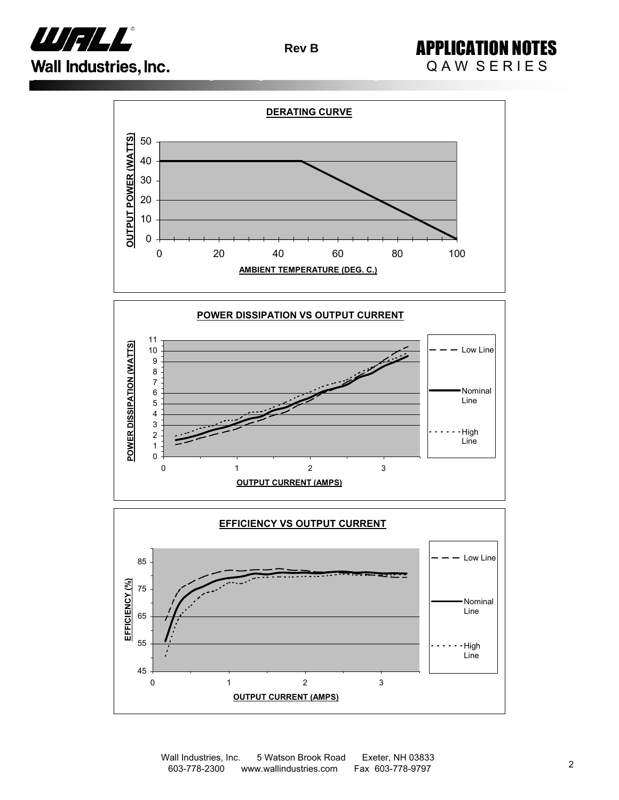

APPLICATION NOTES QAW SERIES